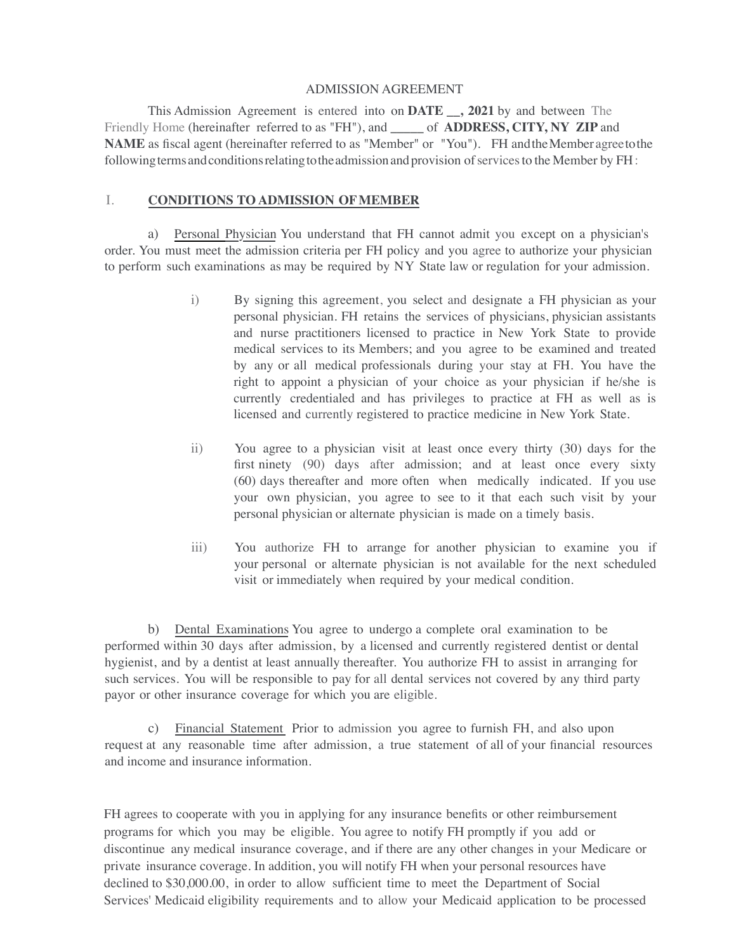#### ADMISSION AGREEMENT

This Admission Agreement is entered into on **DATE \_\_, 2021** by and between The Friendly Home (hereinafter referred to as "FH"), and **\_\_\_\_\_** of **ADDRESS, CITY, NY ZIP** and **NAME** as fiscal agent (hereinafter referred to as "Member" or "You"). FH and the Member agree to the following terms and conditions relating to the admission and provision of services to the Member by FH:

#### I. **CONDITIONS TO ADMISSION OFMEMBER**

a) Personal Physician You understand that FH cannot admit you except on a physician's order. You must meet the admission criteria per FH policy and you agree to authorize your physician to perform such examinations as may be required by NY State law or regulation for your admission.

- i) By signing this agreement, you select and designate a FH physician as your personal physician. FH retains the services of physicians, physician assistants and nurse practitioners licensed to practice in New York State to provide medical services to its Members; and you agree to be examined and treated by any or all medical professionals during your stay at FH. You have the right to appoint a physician of your choice as your physician if he/she is currently credentialed and has privileges to practice at FH as well as is licensed and currently registered to practice medicine in New York State.
- ii) You agree to a physician visit at least once every thirty (30) days for the first ninety (90) days after admission; and at least once every sixty (60) days thereafter and more often when medically indicated. If you use your own physician, you agree to see to it that each such visit by your personal physician or alternate physician is made on a timely basis.
- iii) You authorize FH to arrange for another physician to examine you if your personal or alternate physician is not available for the next scheduled visit or immediately when required by your medical condition.

b) Dental Examinations You agree to undergo a complete oral examination to be performed within 30 days after admission, by a licensed and currently registered dentist or dental hygienist, and by a dentist at least annually thereafter. You authorize FH to assist in arranging for such services. You will be responsible to pay for all dental services not covered by any third party payor or other insurance coverage for which you are eligible.

c) Financial Statement Prior to admission you agree to furnish FH, and also upon request at any reasonable time after admission, a true statement of all of your financial resources and income and insurance information.

FH agrees to cooperate with you in applying for any insurance benefits or other reimbursement programs for which you may be eligible. You agree to notify FH promptly if you add or discontinue any medical insurance coverage, and if there are any other changes in your Medicare or private insurance coverage. In addition, you will notify FH when your personal resources have declined to \$30,000.00, in order to allow sufficient time to meet the Department of Social Services' Medicaid eligibility requirements and to allow your Medicaid application to be processed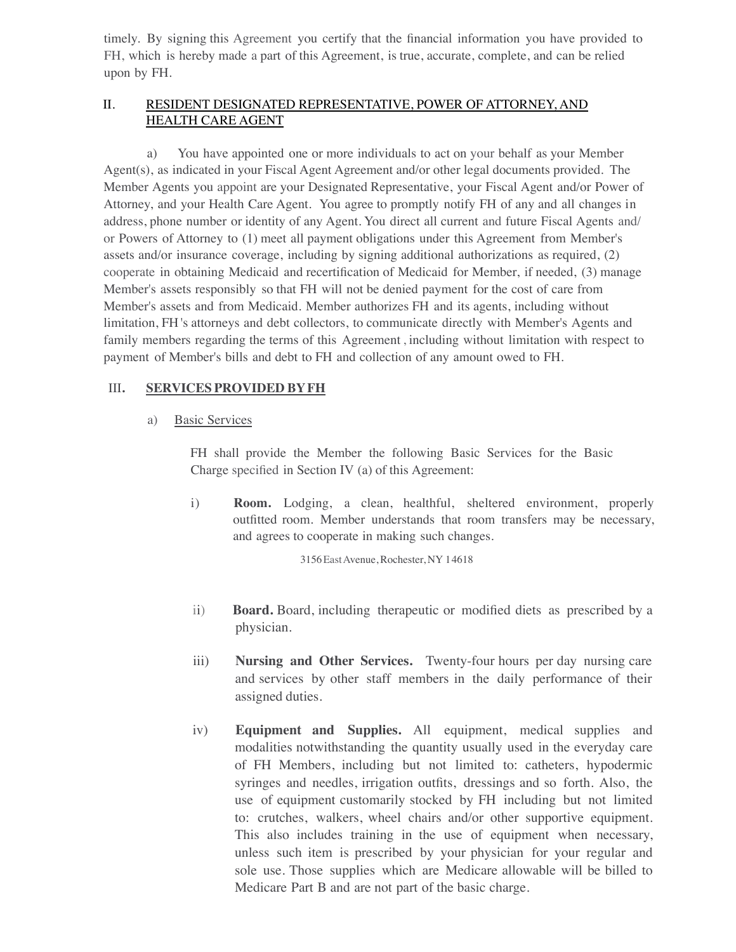timely. By signing this Agreement you certify that the financial information you have provided to FH, which is hereby made a part of this Agreement, is true, accurate, complete, and can be relied upon by FH.

# II. RESIDENT DESIGNATED REPRESENTATIVE, POWER OF ATTORNEY, AND HEALTH CARE AGENT

a) You have appointed one or more individuals to act on your behalf as your Member Agent(s), as indicated in your Fiscal Agent Agreement and/or other legal documents provided. The Member Agents you appoint are your Designated Representative, your Fiscal Agent and/or Power of Attorney, and your Health Care Agent. You agree to promptly notify FH of any and all changes in address, phone number or identity of any Agent. You direct all current and future Fiscal Agents and/ or Powers of Attorney to (1) meet all payment obligations under this Agreement from Member's assets and/or insurance coverage, including by signing additional authorizations as required, (2) cooperate in obtaining Medicaid and recertification of Medicaid for Member, if needed, (3) manage Member's assets responsibly so that FH will not be denied payment for the cost of care from Member's assets and from Medicaid. Member authorizes FH and its agents, including without limitation, FH 's attorneys and debt collectors, to communicate directly with Member's Agents and family members regarding the terms of this Agreement , including without limitation with respect to payment of Member's bills and debt to FH and collection of any amount owed to FH.

## III**. SERVICES PROVIDED BYFH**

## a) Basic Services

FH shall provide the Member the following Basic Services for the Basic Charge specified in Section IV (a) of this Agreement:

i) **Room.** Lodging, a clean, healthful, sheltered environment, properly outfitted room. Member understands that room transfers may be necessary, and agrees to cooperate in making such changes.

3156EastAvenue, Rochester, NY 14618

- ii) **Board.** Board, including therapeutic or modified diets as prescribed by a physician.
- iii) **Nursing and Other Services.** Twenty-four hours per day nursing care and services by other staff members in the daily performance of their assigned duties.
- iv) **Equipment and Supplies.** All equipment, medical supplies and modalities notwithstanding the quantity usually used in the everyday care of FH Members, including but not limited to: catheters, hypodermic syringes and needles, irrigation outfits, dressings and so forth. Also, the use of equipment customarily stocked by FH including but not limited to: crutches, walkers, wheel chairs and/or other supportive equipment. This also includes training in the use of equipment when necessary, unless such item is prescribed by your physician for your regular and sole use. Those supplies which are Medicare allowable will be billed to Medicare Part B and are not part of the basic charge.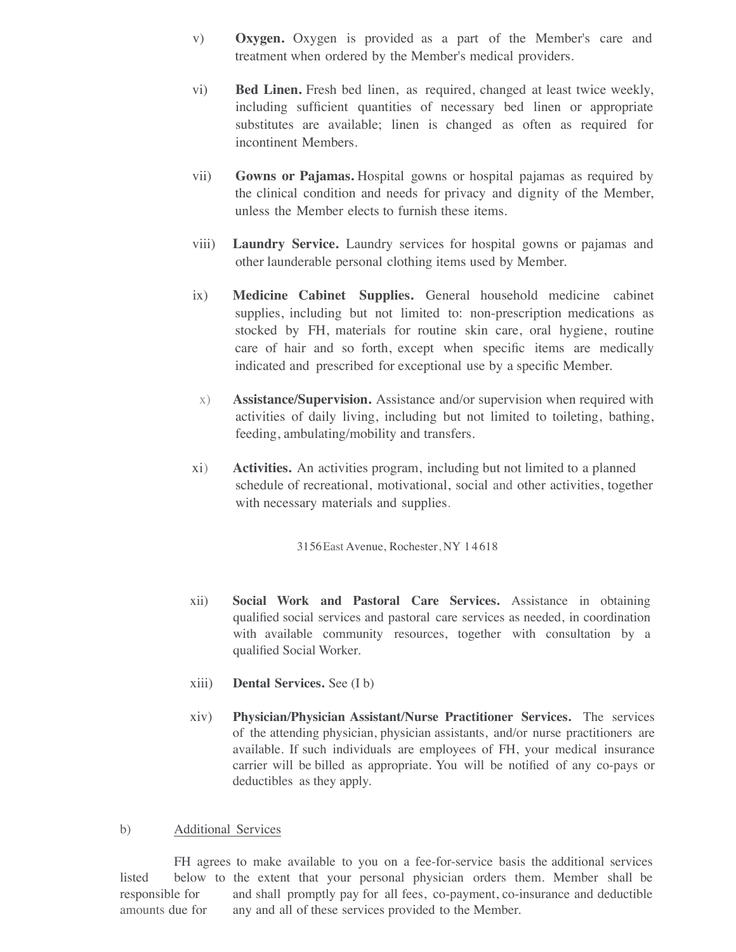- v) **Oxygen.** Oxygen is provided as a part of the Member's care and treatment when ordered by the Member's medical providers.
- vi) **Bed Linen.** Fresh bed linen, as required, changed at least twice weekly, including sufficient quantities of necessary bed linen or appropriate substitutes are available; linen is changed as often as required for incontinent Members.
- vii) **Gowns or Pajamas.** Hospital gowns or hospital pajamas as required by the clinical condition and needs for privacy and dignity of the Member, unless the Member elects to furnish these items.
- viii) **Laundry Service.** Laundry services for hospital gowns or pajamas and other launderable personal clothing items used by Member.
- ix) **Medicine Cabinet Supplies.** General household medicine cabinet supplies, including but not limited to: non-prescription medications as stocked by FH, materials for routine skin care, oral hygiene, routine care of hair and so forth, except when specific items are medically indicated and prescribed for exceptional use by a specific Member.
- x) **Assistance/Supervision.** Assistance and/or supervision when required with activities of daily living, including but not limited to toileting, bathing, feeding, ambulating/mobility and transfers.
- xi) **Activities.** An activities program, including but not limited to a planned schedule of recreational, motivational, social and other activities, together with necessary materials and supplies.

3156East Avenue, Rochester, NY 1 4 618

- xii) **Social Work and Pastoral Care Services.** Assistance in obtaining qualified social services and pastoral care services as needed, in coordination with available community resources, together with consultation by a qualified Social Worker.
- xiii) **Dental Services.** See (I b)
- xiv) **Physician/Physician Assistant/Nurse Practitioner Services.** The services of the attending physician, physician assistants, and/or nurse practitioners are available. If such individuals are employees of FH, your medical insurance carrier will be billed as appropriate. You will be notified of any co-pays or deductibles as they apply.

#### b) Additional Services

FH agrees to make available to you on a fee-for-service basis the additional services listed below to the extent that your personal physician orders them. Member shall be responsible for and shall promptly pay for all fees, co-payment, co-insurance and deductible amounts due for any and all of these services provided to the Member.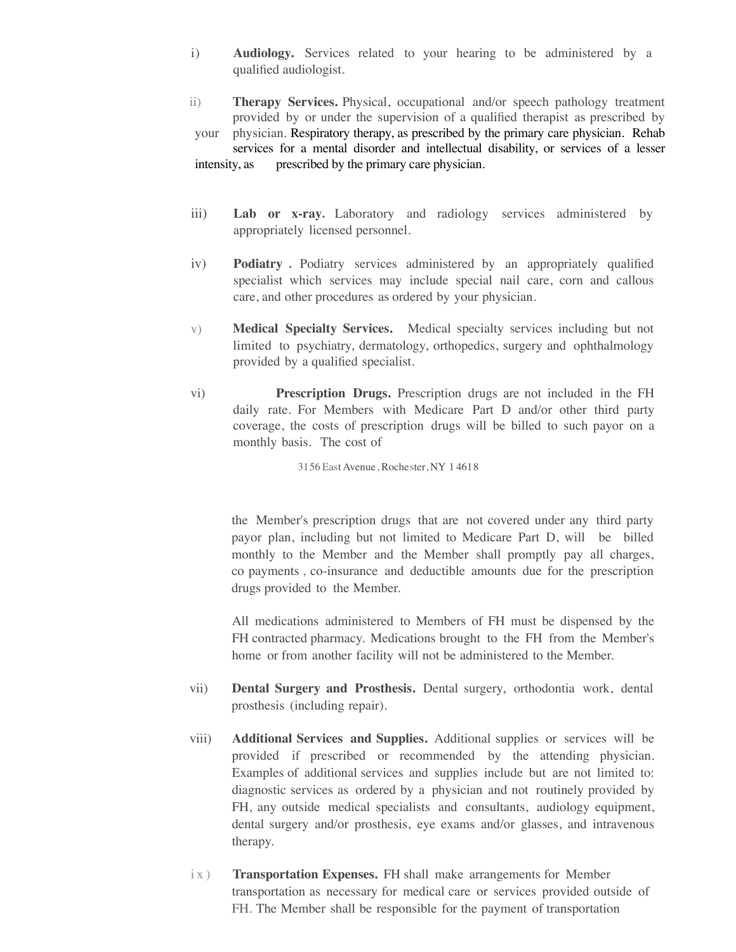- i) **Audiology.** Services related to your hearing to be administered by a qualified audiologist.
- ii) **Therapy Services.** Physical, occupational and/or speech pathology treatment provided by or under the supervision of a qualified therapist as prescribed by your physician. Respiratory therapy, as prescribed by the primary care physician. Rehab services for a mental disorder and intellectual disability, or services of a lesser intensity, as prescribed by the primary care physician.
- iii) **Lab or x-ray.** Laboratory and radiology services administered by appropriately licensed personnel.
- iv) **Podiatry .** Podiatry services administered by an appropriately qualified specialist which services may include special nail care, corn and callous care, and other procedures as ordered by your physician.
- v) **Medical Specialty Services.** Medical specialty services including but not limited to psychiatry, dermatology, orthopedics, surgery and ophthalmology provided by a qualified specialist.
- vi) **Prescription Drugs.** Prescription drugs are not included in the FH daily rate. For Members with Medicare Part D and/or other third party coverage, the costs of prescription drugs will be billed to such payor on a monthly basis. The cost of

3156 East Avenue, Rochester, NY 1 4618

the Member's prescription drugs that are not covered under any third party payor plan, including but not limited to Medicare Part D, will be billed monthly to the Member and the Member shall promptly pay all charges, co payments , co-insurance and deductible amounts due for the prescription drugs provided to the Member.

All medications administered to Members of FH must be dispensed by the FH contracted pharmacy. Medications brought to the FH from the Member's home or from another facility will not be administered to the Member.

- vii) **Dental Surgery and Prosthesis.** Dental surgery, orthodontia work, dental prosthesis (including repair).
- viii) **Additional Services and Supplies.** Additional supplies or services will be provided if prescribed or recommended by the attending physician. Examples of additional services and supplies include but are not limited to: diagnostic services as ordered by a physician and not routinely provided by FH, any outside medical specialists and consultants, audiology equipment, dental surgery and/or prosthesis, eye exams and/or glasses, and intravenous therapy.
- ix) **Transportation Expenses.** FH shall make arrangements for Member transportation as necessary for medical care or services provided outside of FH. The Member shall be responsible for the payment of transportation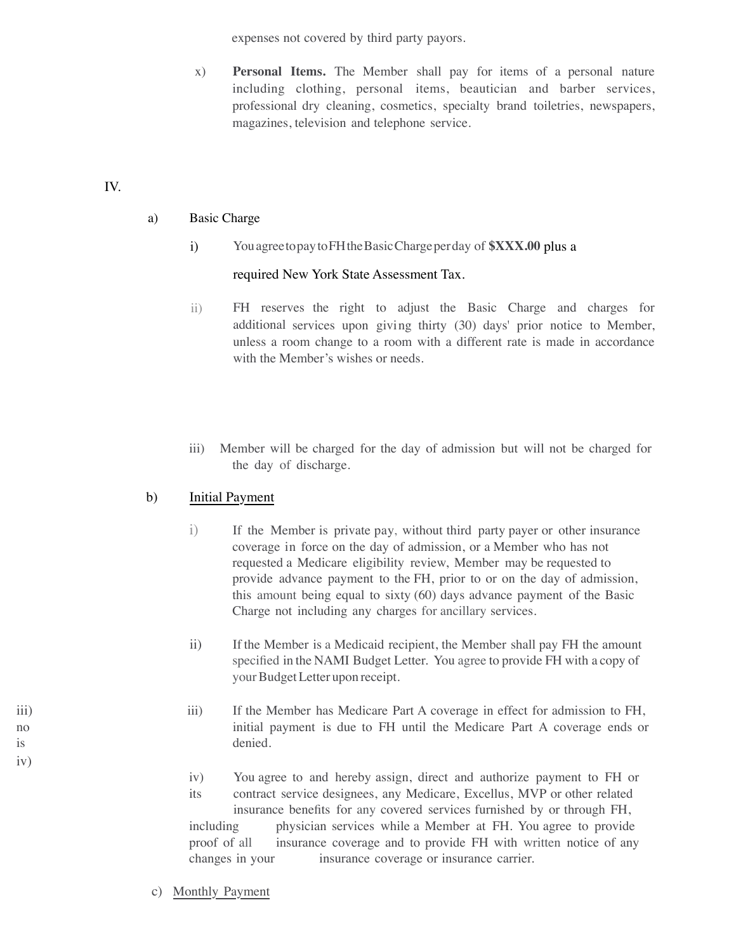expenses not covered by third party payors.

x) **Personal Items.** The Member shall pay for items of a personal nature including clothing, personal items, beautician and barber services, professional dry cleaning, cosmetics, specialty brand toiletries, newspapers, magazines, television and telephone service.

# IV.

iv)

# a) Basic Charge

i) YouagreetopaytoFHtheBasicChargeperday of **\$XXX.00** plus a

## required New York State Assessment Tax.

- ii) FH reserves the right to adjust the Basic Charge and charges for additional services upon giving thirty (30) days' prior notice to Member, unless a room change to a room with a different rate is made in accordance with the Member's wishes or needs.
- iii) Member will be charged for the day of admission but will not be charged for the day of discharge.

# b) Initial Payment

- i) If the Member is private pay, without third party payer or other insurance coverage in force on the day of admission, or a Member who has not requested a Medicare eligibility review, Member may be requested to provide advance payment to the FH, prior to or on the day of admission, this amount being equal to sixty (60) days advance payment of the Basic Charge not including any charges for ancillary services.
- ii) If the Member is a Medicaid recipient, the Member shall pay FH the amount specified in the NAMI Budget Letter. You agree to provide FH with a copy of your Budget Letter upon receipt.
- iii) If the Member has Medicare Part A coverage in effect for admission to FH, no initial payment is due to FH until the Medicare Part A coverage ends or is denied.
	- iv) You agree to and hereby assign, direct and authorize payment to FH or its contract service designees, any Medicare, Excellus, MVP or other related insurance benefits for any covered services furnished by or through FH, including physician services while a Member at FH. You agree to provide proof of all insurance coverage and to provide FH with written notice of any changes in your insurance coverage or insurance carrier.
	- c) Monthly Payment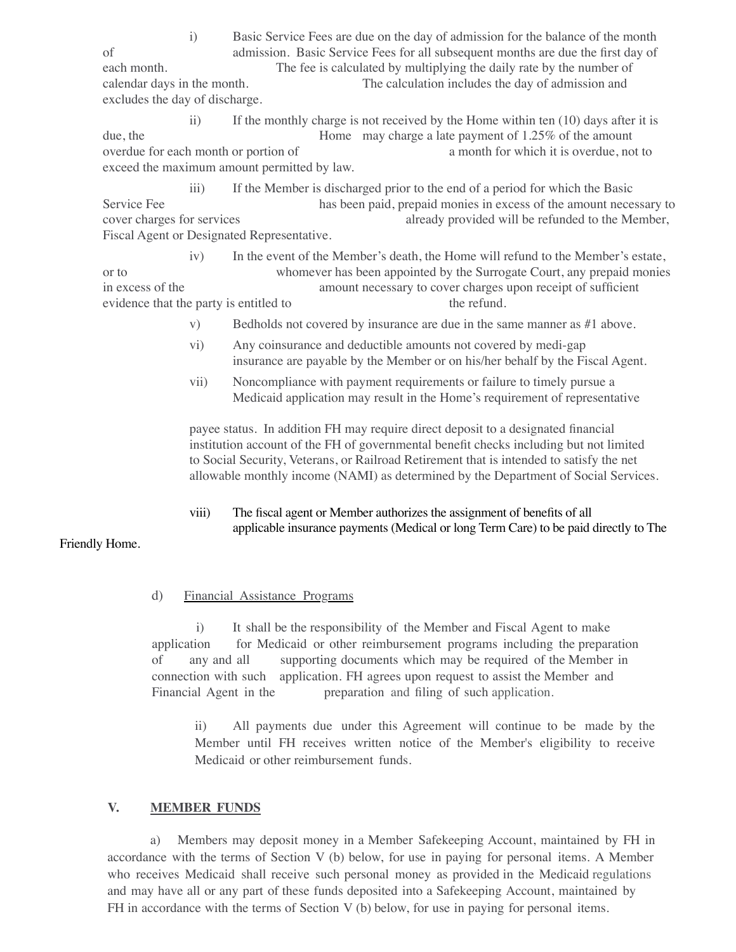i) Basic Service Fees are due on the day of admission for the balance of the month of admission. Basic Service Fees for all subsequent months are due the first day of each month. The fee is calculated by multiplying the daily rate by the number of calendar days in the month. The calculation includes the day of admission and excludes the day of discharge.

ii) If the monthly charge is not received by the Home within ten  $(10)$  days after it is due, the Home may charge a late payment of 1.25% of the amount overdue for each month or portion of a month for which it is overdue, not to exceed the maximum amount permitted by law.

iii) If the Member is discharged prior to the end of a period for which the Basic Service Fee has been paid, prepaid monies in excess of the amount necessary to cover charges for services already provided will be refunded to the Member, Fiscal Agent or Designated Representative.

iv) In the event of the Member's death, the Home will refund to the Member's estate, or to whomever has been appointed by the Surrogate Court, any prepaid monies in excess of the amount necessary to cover charges upon receipt of sufficient evidence that the party is entitled to the refund.

- v) Bedholds not covered by insurance are due in the same manner as #1 above.
- vi) Any coinsurance and deductible amounts not covered by medi-gap insurance are payable by the Member or on his/her behalf by the Fiscal Agent.
- vii) Noncompliance with payment requirements or failure to timely pursue a Medicaid application may result in the Home's requirement of representative

payee status. In addition FH may require direct deposit to a designated financial institution account of the FH of governmental benefit checks including but not limited to Social Security, Veterans, or Railroad Retirement that is intended to satisfy the net allowable monthly income (NAMI) as determined by the Department of Social Services.

viii) The fiscal agent or Member authorizes the assignment of benefits of all applicable insurance payments (Medical or long Term Care) to be paid directly to The

#### Friendly Home.

## d) Financial Assistance Programs

 i) It shall be the responsibility of the Member and Fiscal Agent to make application for Medicaid or other reimbursement programs including the preparation of any and all supporting documents which may be required of the Member in connection with such application. FH agrees upon request to assist the Member and Financial Agent in the preparation and filing of such application.

ii) All payments due under this Agreement will continue to be made by the Member until FH receives written notice of the Member's eligibility to receive Medicaid or other reimbursement funds.

## **V. MEMBER FUNDS**

a) Members may deposit money in a Member Safekeeping Account, maintained by FH in accordance with the terms of Section V (b) below, for use in paying for personal items. A Member who receives Medicaid shall receive such personal money as provided in the Medicaid regulations and may have all or any part of these funds deposited into a Safekeeping Account, maintained by FH in accordance with the terms of Section V (b) below, for use in paying for personal items.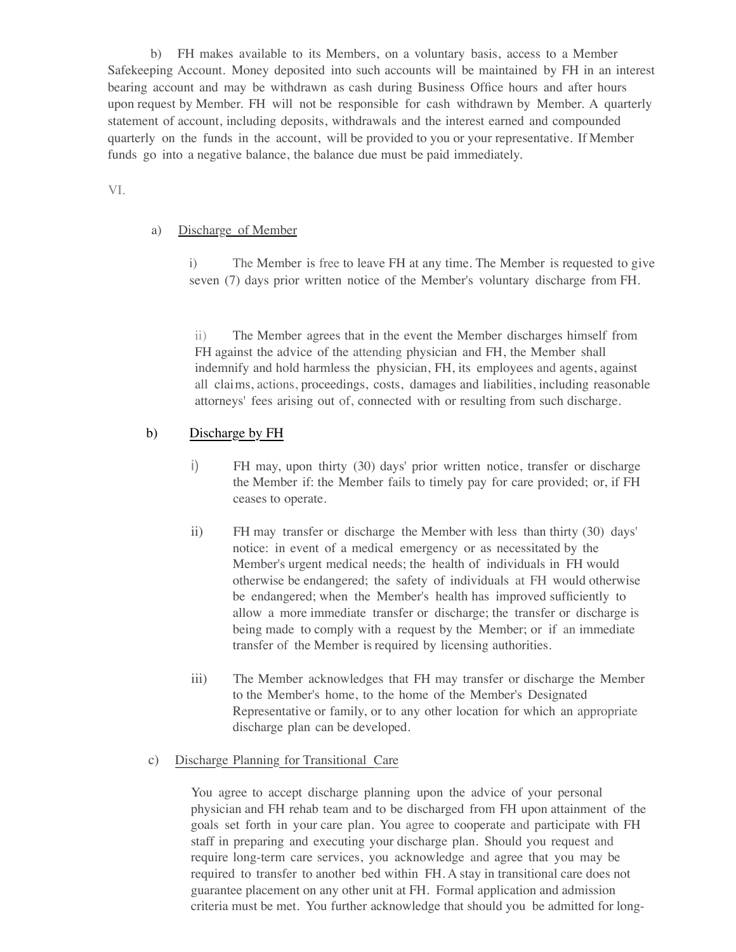b) FH makes available to its Members, on a voluntary basis, access to a Member Safekeeping Account. Money deposited into such accounts will be maintained by FH in an interest bearing account and may be withdrawn as cash during Business Office hours and after hours upon request by Member. FH will not be responsible for cash withdrawn by Member. A quarterly statement of account, including deposits, withdrawals and the interest earned and compounded quarterly on the funds in the account, will be provided to you or your representative. If Member funds go into a negative balance, the balance due must be paid immediately.

## VI.

## a) Discharge of Member

i) The Member is free to leave FH at any time. The Member is requested to give seven (7) days prior written notice of the Member's voluntary discharge from FH.

ii) The Member agrees that in the event the Member discharges himself from FH against the advice of the attending physician and FH, the Member shall indemnify and hold harmless the physician, FH, its employees and agents, against all claims, actions, proceedings, costs, damages and liabilities, including reasonable attorneys' fees arising out of, connected with or resulting from such discharge.

## b) Discharge by FH

- i) FH may, upon thirty (30) days' prior written notice, transfer or discharge the Member if: the Member fails to timely pay for care provided; or, if FH ceases to operate.
- ii) FH may transfer or discharge the Member with less than thirty (30) days' notice: in event of a medical emergency or as necessitated by the Member's urgent medical needs; the health of individuals in FH would otherwise be endangered; the safety of individuals at FH would otherwise be endangered; when the Member's health has improved sufficiently to allow a more immediate transfer or discharge; the transfer or discharge is being made to comply with a request by the Member; or if an immediate transfer of the Member is required by licensing authorities.
- iii) The Member acknowledges that FH may transfer or discharge the Member to the Member's home, to the home of the Member's Designated Representative or family, or to any other location for which an appropriate discharge plan can be developed.

## c) Discharge Planning for Transitional Care

You agree to accept discharge planning upon the advice of your personal physician and FH rehab team and to be discharged from FH upon attainment of the goals set forth in your care plan. You agree to cooperate and participate with FH staff in preparing and executing your discharge plan. Should you request and require long-term care services, you acknowledge and agree that you may be required to transfer to another bed within FH. A stay in transitional care does not guarantee placement on any other unit at FH. Formal application and admission criteria must be met. You further acknowledge that should you be admitted for long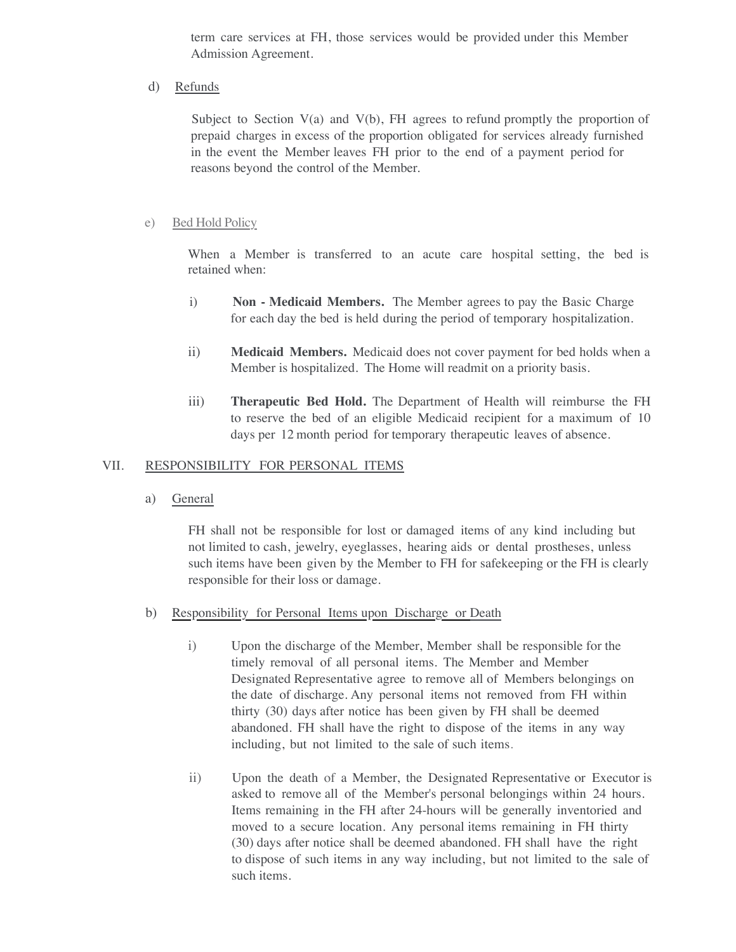term care services at FH, those services would be provided under this Member Admission Agreement.

d) Refunds

Subject to Section  $V(a)$  and  $V(b)$ , FH agrees to refund promptly the proportion of prepaid charges in excess of the proportion obligated for services already furnished in the event the Member leaves FH prior to the end of a payment period for reasons beyond the control of the Member.

#### e) Bed Hold Policy

When a Member is transferred to an acute care hospital setting, the bed is retained when:

- i) **Non - Medicaid Members.** The Member agrees to pay the Basic Charge for each day the bed is held during the period of temporary hospitalization.
- ii) **Medicaid Members.** Medicaid does not cover payment for bed holds when a Member is hospitalized. The Home will readmit on a priority basis.
- iii) **Therapeutic Bed Hold.** The Department of Health will reimburse the FH to reserve the bed of an eligible Medicaid recipient for a maximum of 10 days per 12 month period for temporary therapeutic leaves of absence.

## VII. RESPONSIBILITY FOR PERSONAL ITEMS

a) General

FH shall not be responsible for lost or damaged items of any kind including but not limited to cash, jewelry, eyeglasses, hearing aids or dental prostheses, unless such items have been given by the Member to FH for safekeeping or the FH is clearly responsible for their loss or damage.

- b) Responsibility for Personal Items upon Discharge or Death
	- i) Upon the discharge of the Member, Member shall be responsible for the timely removal of all personal items. The Member and Member Designated Representative agree to remove all of Members belongings on the date of discharge. Any personal items not removed from FH within thirty (30) days after notice has been given by FH shall be deemed abandoned. FH shall have the right to dispose of the items in any way including, but not limited to the sale of such items.
	- ii) Upon the death of a Member, the Designated Representative or Executor is asked to remove all of the Member's personal belongings within 24 hours. Items remaining in the FH after 24-hours will be generally inventoried and moved to a secure location. Any personal items remaining in FH thirty (30) days after notice shall be deemed abandoned. FH shall have the right to dispose of such items in any way including, but not limited to the sale of such items.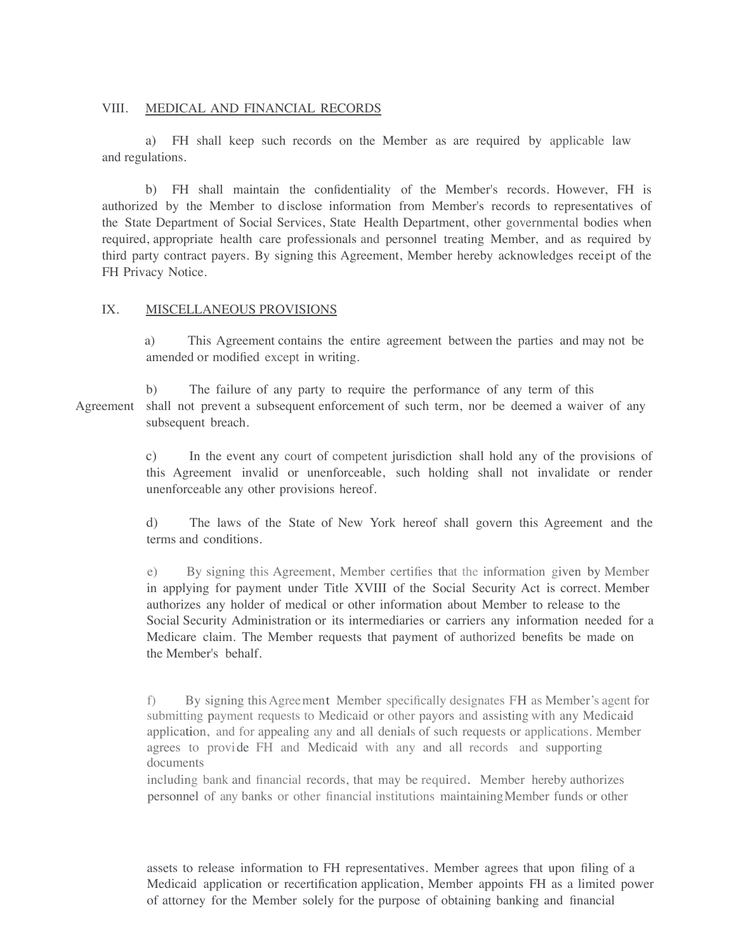#### VIII. MEDICAL AND FINANCIAL RECORDS

a) FH shall keep such records on the Member as are required by applicable law and regulations.

b) FH shall maintain the confidentiality of the Member's records. However, FH is authorized by the Member to disclose information from Member's records to representatives of the State Department of Social Services, State Health Department, other governmental bodies when required, appropriate health care professionals and personnel treating Member, and as required by third party contract payers. By signing this Agreement, Member hereby acknowledges receipt of the FH Privacy Notice.

#### IX. MISCELLANEOUS PROVISIONS

 a) This Agreement contains the entire agreement between the parties and may not be amended or modified except in writing.

b) The failure of any party to require the performance of any term of this Agreement shall not prevent a subsequent enforcement of such term, nor be deemed a waiver of any subsequent breach.

> c) In the event any court of competent jurisdiction shall hold any of the provisions of this Agreement invalid or unenforceable, such holding shall not invalidate or render unenforceable any other provisions hereof.

> d) The laws of the State of New York hereof shall govern this Agreement and the terms and conditions.

> e) By signing this Agreement, Member certifies that the information given by Member in applying for payment under Title XVIII of the Social Security Act is correct. Member authorizes any holder of medical or other information about Member to release to the Social Security Administration or its intermediaries or carriers any information needed for a Medicare claim. The Member requests that payment of authorized benefits be made on the Member's behalf.

> f) By signing thisAgreement Member specifically designates FH as Member's agent for submitting payment requests to Medicaid or other payors and assisting with any Medicaid application, and for appealing any and all denials of such requests or applications. Member agrees to provide FH and Medicaid with any and all records and supporting documents

including bank and financial records, that may be required. Member hereby authorizes personnel of any banks or other financial institutions maintainingMember funds or other

assets to release information to FH representatives. Member agrees that upon filing of a Medicaid application or recertification application, Member appoints FH as a limited power of attorney for the Member solely for the purpose of obtaining banking and financial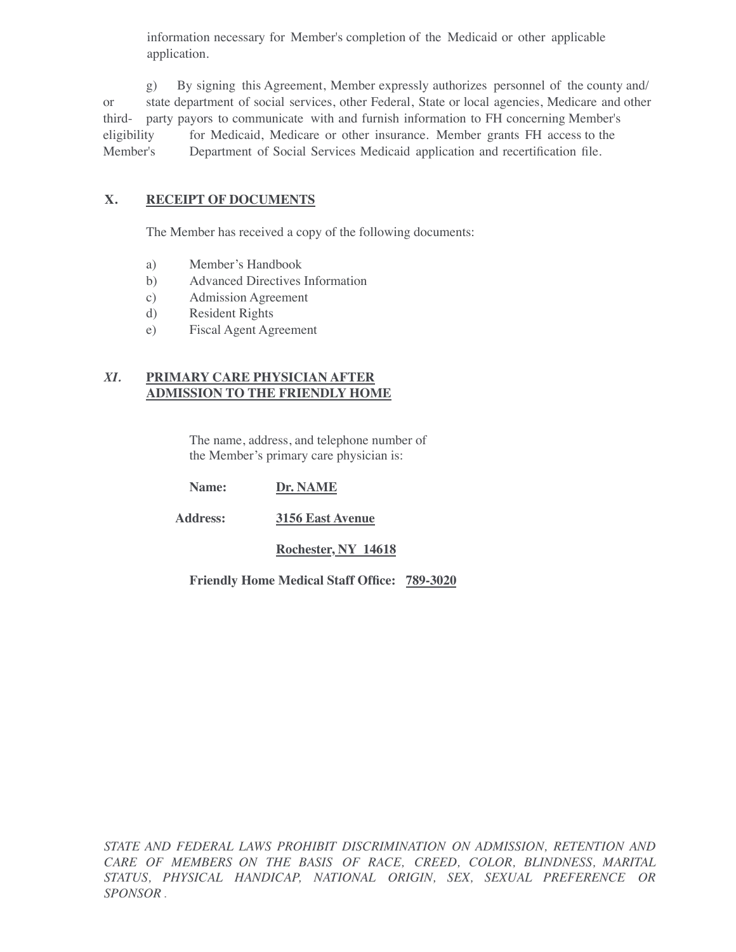information necessary for Member's completion of the Medicaid or other applicable application.

g) By signing this Agreement, Member expressly authorizes personnel of the county and/ or state department of social services, other Federal, State or local agencies, Medicare and other third- party payors to communicate with and furnish information to FH concerning Member's eligibility for Medicaid, Medicare or other insurance. Member grants FH access to the Member's Department of Social Services Medicaid application and recertification file.

# **X. RECEIPT OF DOCUMENTS**

The Member has received a copy of the following documents:

- a) Member's Handbook
- b) Advanced Directives Information
- c) Admission Agreement
- d) Resident Rights
- e) Fiscal Agent Agreement

## *XI.* **PRIMARY CARE PHYSICIAN AFTER ADMISSION TO THE FRIENDLY HOME**

The name, address, and telephone number of the Member's primary care physician is:

**Name: Dr. NAME**

 **Address: 3156 East Avenue**

**Rochester, NY 14618**

**Friendly Home Medical Staff Office: 789-3020**

*STATE AND FEDERAL LAWS PROHIBIT DISCRIMINATION ON ADMISSION, RETENTION AND CARE OF MEMBERS ON THE BASIS OF RACE, CREED, COLOR, BLINDNESS, MARITAL STATUS, PHYSICAL HANDICAP, NATIONAL ORIGIN, SEX, SEXUAL PREFERENCE OR SPONSOR .*